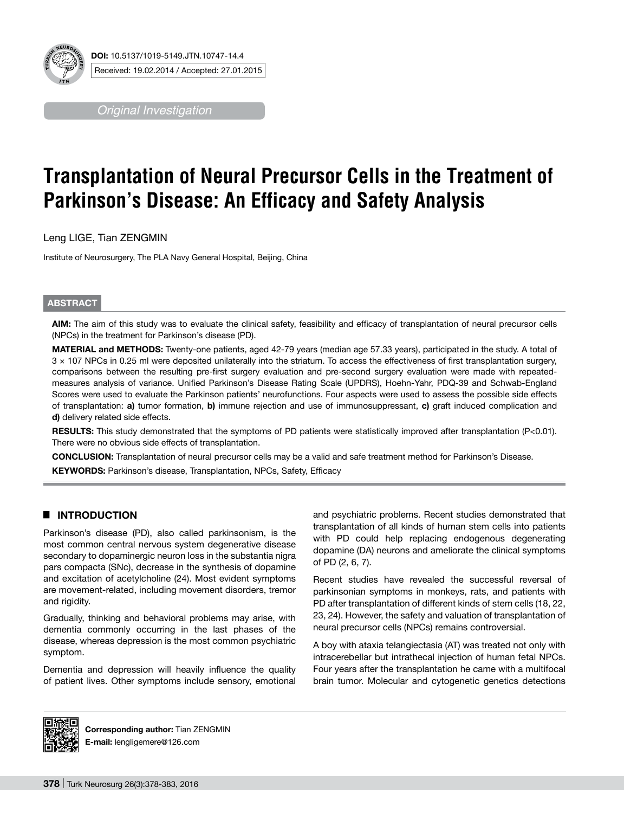

*Original Investigation*

# **Transplantation of Neural Precursor Cells in the Treatment of Parkinson's Disease: An Efficacy and Safety Analysis**

Leng LIGE, Tian ZENGMIN

Institute of Neurosurgery, The PLA Navy General Hospital, Beijing, China

# **ABSTRACT**

**AIm:** The aim of this study was to evaluate the clinical safety, feasibility and efficacy of transplantation of neural precursor cells (NPCs) in the treatment for Parkinson's disease (PD).

**MaterIal and Methods:** Twenty-one patients, aged 42-79 years (median age 57.33 years), participated in the study. A total of 3 × 107 NPCs in 0.25 ml were deposited unilaterally into the striatum. To access the effectiveness of first transplantation surgery, comparisons between the resulting pre-first surgery evaluation and pre-second surgery evaluation were made with repeatedmeasures analysis of variance. Unified Parkinson's Disease Rating Scale (UPDRS), Hoehn-Yahr, PDQ-39 and Schwab-England Scores were used to evaluate the Parkinson patients' neurofunctions. Four aspects were used to assess the possible side effects of transplantation: **a)** tumor formation, **b)** immune rejection and use of immunosuppressant, **c)** graft induced complication and **d)** delivery related side effects.

RESULTS: This study demonstrated that the symptoms of PD patients were statistically improved after transplantation (P<0.01). There were no obvious side effects of transplantation.

**ConclusIon:** Transplantation of neural precursor cells may be a valid and safe treatment method for Parkinson's Disease. **KEYWORDS:** Parkinson's disease, Transplantation, NPCs, Safety, Efficacy

# █ **INTRODUCTION**

Parkinson's disease (PD), also called parkinsonism, is the most common central nervous system degenerative disease secondary to dopaminergic neuron loss in the substantia nigra pars compacta (SNc), decrease in the synthesis of dopamine and excitation of acetylcholine (24). Most evident symptoms are movement-related, including movement disorders, tremor and rigidity.

Gradually, thinking and behavioral problems may arise, with dementia commonly occurring in the last phases of the disease, whereas depression is the most common psychiatric symptom.

Dementia and depression will heavily influence the quality of patient lives. Other symptoms include sensory, emotional and psychiatric problems. Recent studies demonstrated that transplantation of all kinds of human stem cells into patients with PD could help replacing endogenous degenerating dopamine (DA) neurons and ameliorate the clinical symptoms of PD (2, 6, 7).

Recent studies have revealed the successful reversal of parkinsonian symptoms in monkeys, rats, and patients with PD after transplantation of different kinds of stem cells (18, 22, 23, 24). However, the safety and valuation of transplantation of neural precursor cells (NPCs) remains controversial.

A boy with ataxia telangiectasia (AT) was treated not only with intracerebellar but intrathecal injection of human fetal NPCs. Four years after the transplantation he came with a multifocal brain tumor. Molecular and cytogenetic genetics detections



**Corresponding author:** Tian ZENGMIN **E-mail:** lengligemere@126.com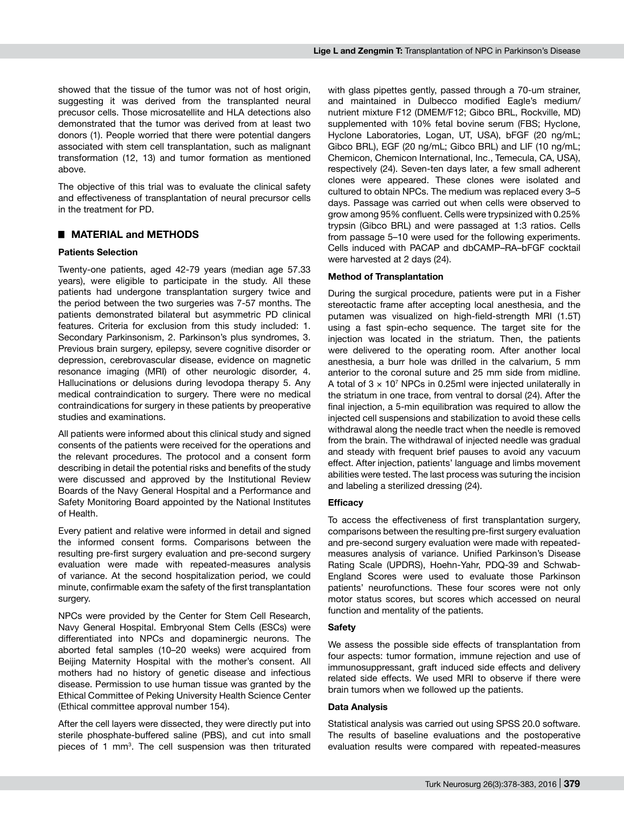showed that the tissue of the tumor was not of host origin. suggesting it was derived from the transplanted neural precusor cells. Those microsatellite and HLA detections also demonstrated that the tumor was derived from at least two donors (1). People worried that there were potential dangers associated with stem cell transplantation, such as malignant transformation (12, 13) and tumor formation as mentioned above.

The objective of this trial was to evaluate the clinical safety and effectiveness of transplantation of neural precursor cells in the treatment for PD.

## █ **MATERIAL and METHODS**

## **Patients Selection**

Twenty-one patients, aged 42-79 years (median age 57.33 years), were eligible to participate in the study. All these patients had undergone transplantation surgery twice and the period between the two surgeries was 7-57 months. The patients demonstrated bilateral but asymmetric PD clinical features. Criteria for exclusion from this study included: 1. Secondary Parkinsonism, 2. Parkinson's plus syndromes, 3. Previous brain surgery, epilepsy, severe cognitive disorder or depression, cerebrovascular disease, evidence on magnetic resonance imaging (MRI) of other neurologic disorder, 4. Hallucinations or delusions during levodopa therapy 5. Any medical contraindication to surgery. There were no medical contraindications for surgery in these patients by preoperative studies and examinations.

All patients were informed about this clinical study and signed consents of the patients were received for the operations and the relevant procedures. The protocol and a consent form describing in detail the potential risks and benefits of the study were discussed and approved by the Institutional Review Boards of the Navy General Hospital and a Performance and Safety Monitoring Board appointed by the National Institutes of Health.

Every patient and relative were informed in detail and signed the informed consent forms. Comparisons between the resulting pre-first surgery evaluation and pre-second surgery evaluation were made with repeated-measures analysis of variance. At the second hospitalization period, we could minute, confirmable exam the safety of the first transplantation surgery.

NPCs were provided by the Center for Stem Cell Research, Navy General Hospital. Embryonal Stem Cells (ESCs) were differentiated into NPCs and dopaminergic neurons. The aborted fetal samples (10–20 weeks) were acquired from Beijing Maternity Hospital with the mother's consent. All mothers had no history of genetic disease and infectious disease. Permission to use human tissue was granted by the Ethical Committee of Peking University Health Science Center (Ethical committee approval number 154).

After the cell layers were dissected, they were directly put into sterile phosphate-buffered saline (PBS), and cut into small pieces of 1 mm<sup>3</sup>. The cell suspension was then triturated with glass pipettes gently, passed through a 70-um strainer. and maintained in Dulbecco modified Eagle's medium/ nutrient mixture F12 (DMEM/F12; Gibco BRL, Rockville, MD) supplemented with 10% fetal bovine serum (FBS; Hyclone, Hyclone Laboratories, Logan, UT, USA), bFGF (20 ng/mL; Gibco BRL), EGF (20 ng/mL; Gibco BRL) and LIF (10 ng/mL; Chemicon, Chemicon International, Inc., Temecula, CA, USA), respectively (24). Seven-ten days later, a few small adherent clones were appeared. These clones were isolated and cultured to obtain NPCs. The medium was replaced every 3–5 days. Passage was carried out when cells were observed to grow among 95% confluent. Cells were trypsinized with 0.25% trypsin (Gibco BRL) and were passaged at 1:3 ratios. Cells from passage 5–10 were used for the following experiments. Cells induced with PACAP and dbCAMP–RA–bFGF cocktail were harvested at 2 days (24).

## **Method of Transplantation**

During the surgical procedure, patients were put in a Fisher stereotactic frame after accepting local anesthesia, and the putamen was visualized on high-field-strength MRI (1.5T) using a fast spin-echo sequence. The target site for the injection was located in the striatum. Then, the patients were delivered to the operating room. After another local anesthesia, a burr hole was drilled in the calvarium, 5 mm anterior to the coronal suture and 25 mm side from midline. A total of  $3 \times 10^7$  NPCs in 0.25ml were injected unilaterally in the striatum in one trace, from ventral to dorsal (24). After the final injection, a 5-min equilibration was required to allow the injected cell suspensions and stabilization to avoid these cells withdrawal along the needle tract when the needle is removed from the brain. The withdrawal of injected needle was gradual and steady with frequent brief pauses to avoid any vacuum effect. After injection, patients' language and limbs movement abilities were tested. The last process was suturing the incision and labeling a sterilized dressing (24).

#### **Efficacy**

To access the effectiveness of first transplantation surgery, comparisons between the resulting pre-first surgery evaluation and pre-second surgery evaluation were made with repeatedmeasures analysis of variance. Unified Parkinson's Disease Rating Scale (UPDRS), Hoehn-Yahr, PDQ-39 and Schwab-England Scores were used to evaluate those Parkinson patients' neurofunctions. These four scores were not only motor status scores, but scores which accessed on neural function and mentality of the patients.

#### **Safety**

We assess the possible side effects of transplantation from four aspects: tumor formation, immune rejection and use of immunosuppressant, graft induced side effects and delivery related side effects. We used MRI to observe if there were brain tumors when we followed up the patients.

#### **Data Analysis**

Statistical analysis was carried out using SPSS 20.0 software. The results of baseline evaluations and the postoperative evaluation results were compared with repeated-measures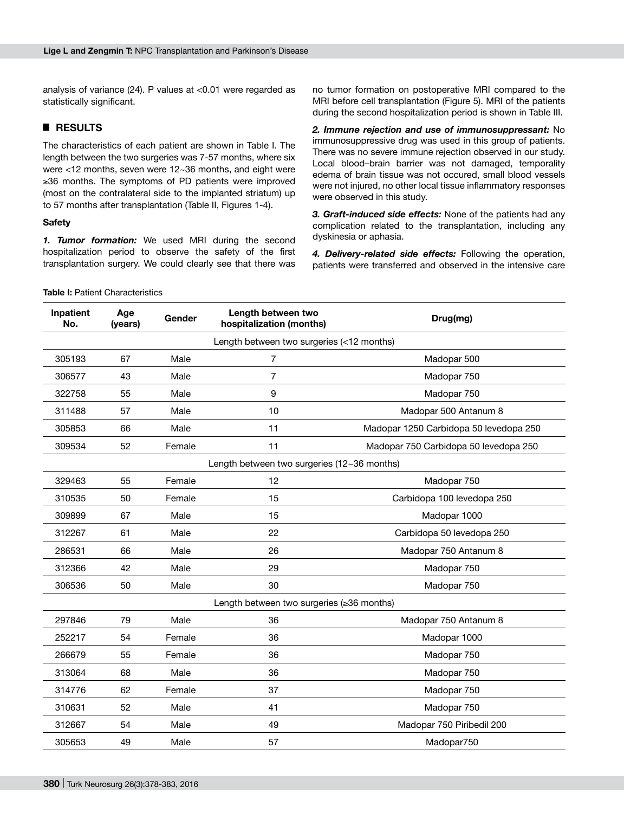analysis of variance (24). P values at <0.01 were regarded as statistically significant.

# █ **RESULTS**

The characteristics of each patient are shown in Table I. The length between the two surgeries was 7-57 months, where six were <12 months, seven were 12~36 months, and eight were ≥36 months. The symptoms of PD patients were improved (most on the contralateral side to the implanted striatum) up to 57 months after transplantation (Table II, Figures 1-4).

## **Safety**

*1. Tumor formation:* We used MRI during the second hospitalization period to observe the safety of the first transplantation surgery. We could clearly see that there was no tumor formation on postoperative MRI compared to the MRI before cell transplantation (Figure 5). MRI of the patients during the second hospitalization period is shown in Table III.

*2. Immune rejection and use of immunosuppressant:* No immunosuppressive drug was used in this group of patients. There was no severe immune rejection observed in our study. Local blood–brain barrier was not damaged, temporality edema of brain tissue was not occured, small blood vessels were not injured, no other local tissue inflammatory responses were observed in this study.

*3. Graft-induced side effects:* None of the patients had any complication related to the transplantation, including any dyskinesia or aphasia.

*4. Delivery-related side effects:* Following the operation, patients were transferred and observed in the intensive care

### **Table I: Patient Characteristics**

| Inpatient<br>No.                              | Age<br>(years) | Gender | Length between two<br>hospitalization (months) | Drug(mg)                               |  |  |  |  |
|-----------------------------------------------|----------------|--------|------------------------------------------------|----------------------------------------|--|--|--|--|
| Length between two surgeries (<12 months)     |                |        |                                                |                                        |  |  |  |  |
| 305193                                        | 67             | Male   | $\overline{7}$                                 | Madopar 500                            |  |  |  |  |
| 306577                                        | 43             | Male   | $\overline{7}$                                 | Madopar 750                            |  |  |  |  |
| 322758                                        | 55             | Male   | 9                                              | Madopar 750                            |  |  |  |  |
| 311488                                        | 57             | Male   | 10                                             | Madopar 500 Antanum 8                  |  |  |  |  |
| 305853                                        | 66             | Male   | 11                                             | Madopar 1250 Carbidopa 50 levedopa 250 |  |  |  |  |
| 309534                                        | 52             | Female | 11                                             | Madopar 750 Carbidopa 50 levedopa 250  |  |  |  |  |
| Length between two surgeries $(12-36$ months) |                |        |                                                |                                        |  |  |  |  |
| 329463                                        | 55             | Female | 12                                             | Madopar 750                            |  |  |  |  |
| 310535                                        | 50             | Female | 15                                             | Carbidopa 100 levedopa 250             |  |  |  |  |
| 309899                                        | 67             | Male   | 15                                             | Madopar 1000                           |  |  |  |  |
| 312267                                        | 61             | Male   | 22                                             | Carbidopa 50 levedopa 250              |  |  |  |  |
| 286531                                        | 66             | Male   | 26                                             | Madopar 750 Antanum 8                  |  |  |  |  |
| 312366                                        | 42             | Male   | 29                                             | Madopar 750                            |  |  |  |  |
| 306536                                        | 50             | Male   | 30                                             | Madopar 750                            |  |  |  |  |
| Length between two surgeries (≥36 months)     |                |        |                                                |                                        |  |  |  |  |
| 297846                                        | 79             | Male   | 36                                             | Madopar 750 Antanum 8                  |  |  |  |  |
| 252217                                        | 54             | Female | 36                                             | Madopar 1000                           |  |  |  |  |
| 266679                                        | 55             | Female | 36                                             | Madopar 750                            |  |  |  |  |
| 313064                                        | 68             | Male   | 36                                             | Madopar 750                            |  |  |  |  |
| 314776                                        | 62             | Female | 37                                             | Madopar 750                            |  |  |  |  |
| 310631                                        | 52             | Male   | 41                                             | Madopar 750                            |  |  |  |  |
| 312667                                        | 54             | Male   | 49                                             | Madopar 750 Piribedil 200              |  |  |  |  |
| 305653                                        | 49             | Male   | 57                                             | Madopar750                             |  |  |  |  |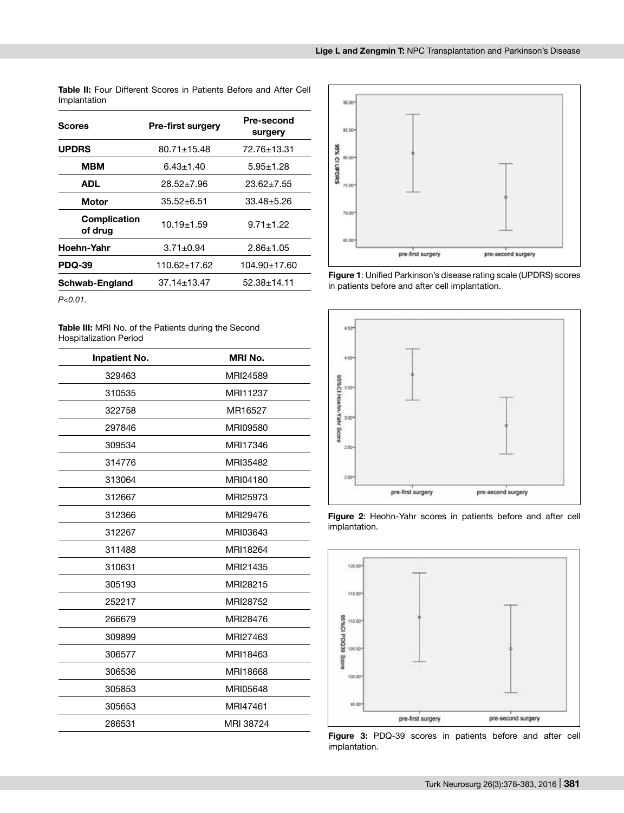| <b>Table II:</b> Four Different Scores in Patients Before and After Cell |  |  |  |
|--------------------------------------------------------------------------|--|--|--|
| Implantation                                                             |  |  |  |

| Scores                         | <b>Pre-first surgery</b> | <b>Pre-second</b><br>surgery |  |
|--------------------------------|--------------------------|------------------------------|--|
| <b>UPDRS</b>                   | $80.71 \pm 15.48$        | 72.76±13.31                  |  |
| <b>MBM</b>                     | $6.43 \pm 1.40$          | $5.95 \pm 1.28$              |  |
| ADL                            | $28.52 \pm 7.96$         | $23.62 \pm 7.55$             |  |
| Motor                          | $35.52 \pm 6.51$         | $33.48 + 5.26$               |  |
| <b>Complication</b><br>of drug | $10.19 + 1.59$           | $9.71 \pm 1.22$              |  |
| Hoehn-Yahr                     | $3.71 \pm 0.94$          | $2.86 \pm 1.05$              |  |
| <b>PDQ-39</b>                  | 110.62+17.62             | 104.90±17.60                 |  |
| Schwab-England                 | $37.14 \pm 13.47$        | $52.38 \pm 14.11$            |  |

*P<0.01.*

**Table III:** MRI No. of the Patients during the Second Hospitalization Period

| <b>Inpatient No.</b> | <b>MRI No.</b> |
|----------------------|----------------|
| 329463               | MRI24589       |
| 310535               | MRI11237       |
| 322758               | MR16527        |
| 297846               | MRI09580       |
| 309534               | MRI17346       |
| 314776               | MRI35482       |
| 313064               | MRI04180       |
| 312667               | MRI25973       |
| 312366               | MRI29476       |
| 312267               | MRI03643       |
| 311488               | MRI18264       |
| 310631               | MRI21435       |
| 305193               | MRI28215       |
| 252217               | MRI28752       |
| 266679               | MRI28476       |
| 309899               | MRI27463       |
| 306577               | MRI18463       |
| 306536               | MRI18668       |
| 305853               | MRI05648       |
| 305653               | MRI47461       |
| 286531               | MRI 38724      |



**Figure 1**: Unified Parkinson's disease rating scale (UPDRS) scores in patients before and after cell implantation.



**Figure 2**: Heohn-Yahr scores in patients before and after cell implantation.



**Figure 3:** PDQ-39 scores in patients before and after cell implantation.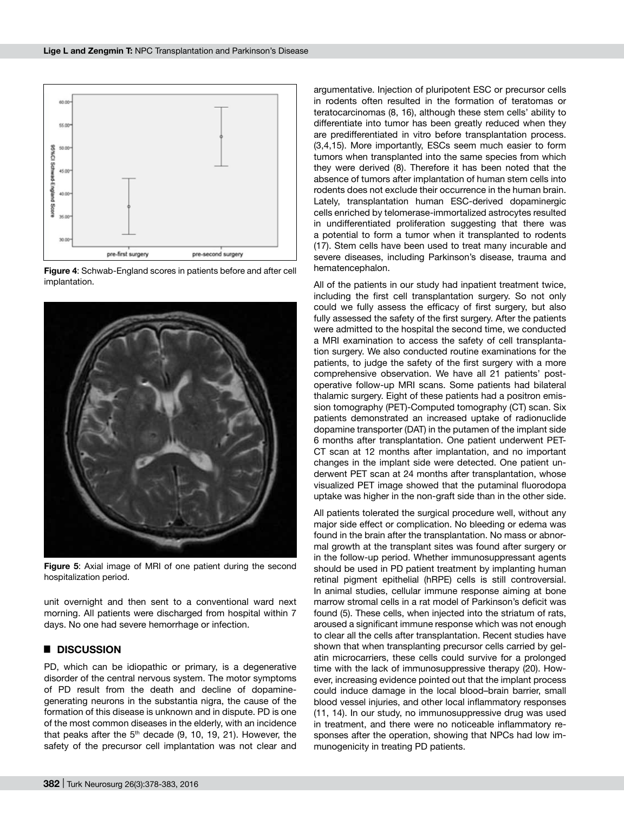

**Figure 4**: Schwab-England scores in patients before and after cell implantation.



**Figure 5**: Axial image of MRI of one patient during the second hospitalization period.

unit overnight and then sent to a conventional ward next morning. All patients were discharged from hospital within 7 days. No one had severe hemorrhage or infection.

# █ **DISCUSSION**

PD, which can be idiopathic or primary, is a degenerative disorder of the central nervous system. The motor symptoms of PD result from the death and decline of dopaminegenerating neurons in the substantia nigra, the cause of the formation of this disease is unknown and in dispute. PD is one of the most common diseases in the elderly, with an incidence that peaks after the  $5<sup>th</sup>$  decade  $(9, 10, 19, 21)$ . However, the safety of the precursor cell implantation was not clear and argumentative. Injection of pluripotent ESC or precursor cells in rodents often resulted in the formation of teratomas or teratocarcinomas (8, 16), although these stem cells' ability to differentiate into tumor has been greatly reduced when they are predifferentiated in vitro before transplantation process. (3,4,15). More importantly, ESCs seem much easier to form tumors when transplanted into the same species from which they were derived (8). Therefore it has been noted that the absence of tumors after implantation of human stem cells into rodents does not exclude their occurrence in the human brain. Lately, transplantation human ESC-derived dopaminergic cells enriched by telomerase-immortalized astrocytes resulted in undifferentiated proliferation suggesting that there was a potential to form a tumor when it transplanted to rodents (17). Stem cells have been used to treat many incurable and severe diseases, including Parkinson's disease, trauma and hematencephalon.

All of the patients in our study had inpatient treatment twice, including the first cell transplantation surgery. So not only could we fully assess the efficacy of first surgery, but also fully assessed the safety of the first surgery. After the patients were admitted to the hospital the second time, we conducted a MRI examination to access the safety of cell transplantation surgery. We also conducted routine examinations for the patients, to judge the safety of the first surgery with a more comprehensive observation. We have all 21 patients' postoperative follow-up MRI scans. Some patients had bilateral thalamic surgery. Eight of these patients had a positron emission tomography (PET)-Computed tomography (CT) scan. Six patients demonstrated an increased uptake of radionuclide dopamine transporter (DAT) in the putamen of the implant side 6 months after transplantation. One patient underwent PET-CT scan at 12 months after implantation, and no important changes in the implant side were detected. One patient underwent PET scan at 24 months after transplantation, whose visualized PET image showed that the putaminal fluorodopa uptake was higher in the non-graft side than in the other side.

All patients tolerated the surgical procedure well, without any major side effect or complication. No bleeding or edema was found in the brain after the transplantation. No mass or abnormal growth at the transplant sites was found after surgery or in the follow-up period. Whether immunosuppressant agents should be used in PD patient treatment by implanting human retinal pigment epithelial (hRPE) cells is still controversial. In animal studies, cellular immune response aiming at bone marrow stromal cells in a rat model of Parkinson's deficit was found (5). These cells, when injected into the striatum of rats, aroused a significant immune response which was not enough to clear all the cells after transplantation. Recent studies have shown that when transplanting precursor cells carried by gelatin microcarriers, these cells could survive for a prolonged time with the lack of immunosuppressive therapy (20). However, increasing evidence pointed out that the implant process could induce damage in the local blood–brain barrier, small blood vessel injuries, and other local inflammatory responses (11, 14). In our study, no immunosuppressive drug was used in treatment, and there were no noticeable inflammatory responses after the operation, showing that NPCs had low immunogenicity in treating PD patients.